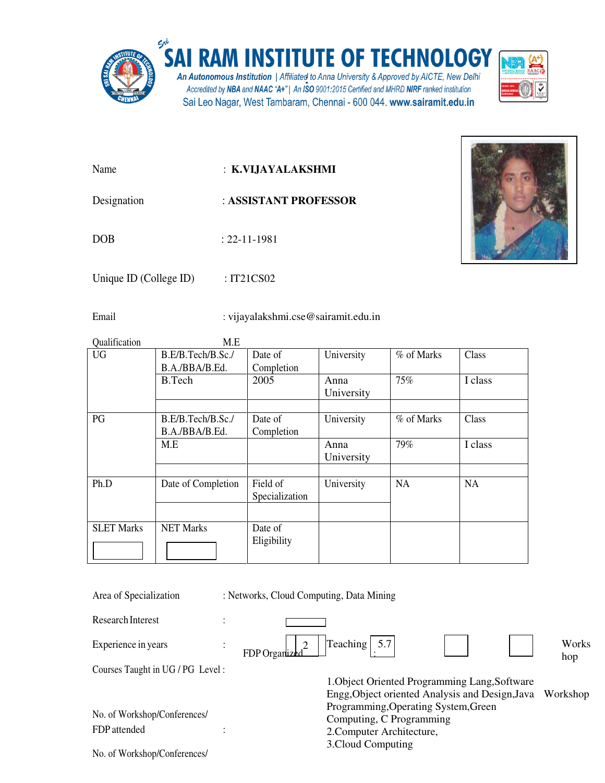

Name : **K.VIJAYALAKSHMI** 

- Designation : **ASSISTANT PROFESSOR**
- DOB : 22-11-1981

Unique ID (College ID) : IT21CS02

Email : vijayalakshmi.cse@sairamit.edu.in

| Qualification     | M.E                |                |            |            |           |
|-------------------|--------------------|----------------|------------|------------|-----------|
| <b>UG</b>         | B.E/B.Tech/B.Sc./  | Date of        | University | % of Marks | Class     |
|                   | B.A./BBA/B.Ed.     | Completion     |            |            |           |
|                   | B.Tech             | 2005           | Anna       | 75%        | I class   |
|                   |                    |                | University |            |           |
|                   |                    |                |            |            |           |
| PG                | B.E/B.Tech/B.Sc./  | Date of        | University | % of Marks | Class     |
|                   | B.A./BBA/B.Ed.     | Completion     |            |            |           |
|                   | M.E                |                | Anna       | 79%        | I class   |
|                   |                    |                | University |            |           |
|                   |                    |                |            |            |           |
| Ph.D              | Date of Completion | Field of       | University | <b>NA</b>  | <b>NA</b> |
|                   |                    | Specialization |            |            |           |
|                   |                    |                |            |            |           |
| <b>SLET Marks</b> | <b>NET Marks</b>   | Date of        |            |            |           |
|                   |                    | Eligibility    |            |            |           |
|                   |                    |                |            |            |           |
|                   |                    |                |            |            |           |

| Area of Specialization            | : Networks, Cloud Computing, Data Mining |                                                 |  |              |
|-----------------------------------|------------------------------------------|-------------------------------------------------|--|--------------|
| Research Interest                 |                                          |                                                 |  |              |
| Experience in years               | FDP Organize                             | $\left \text{Teaching}\right $ 5.7              |  | Works<br>hop |
| Courses Taught in UG / PG Level : |                                          |                                                 |  |              |
|                                   |                                          | 1. Object Oriented Programming Lang, Software   |  |              |
|                                   |                                          | Engg, Object oriented Analysis and Design, Java |  | Workshop     |
|                                   |                                          | Programming, Operating System, Green            |  |              |
| No. of Workshop/Conferences/      |                                          | Computing, C Programming                        |  |              |
| FDP attended                      |                                          | 2. Computer Architecture,                       |  |              |
| No. of Workshop/Conferences/      |                                          | 3. Cloud Computing                              |  |              |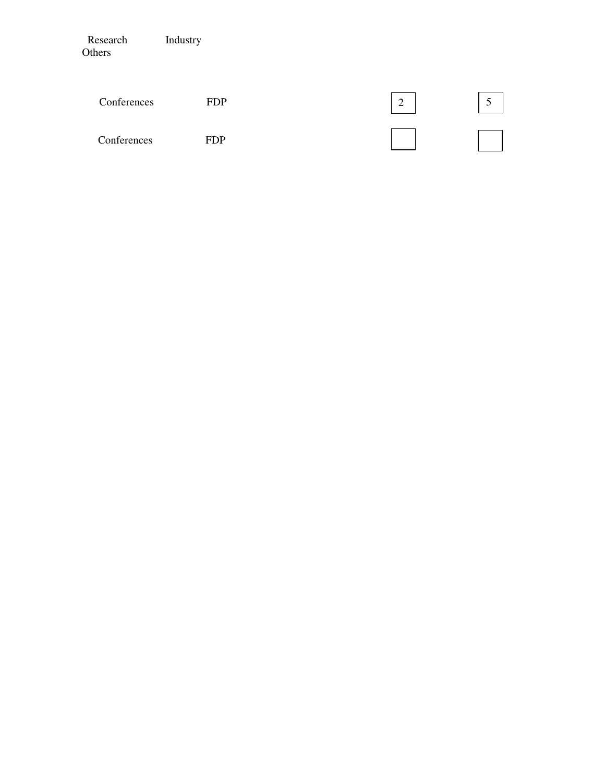| Research<br>Others | Industry   |   |  |
|--------------------|------------|---|--|
| Conferences        | <b>FDP</b> | 2 |  |
| Conferences        | <b>FDP</b> |   |  |